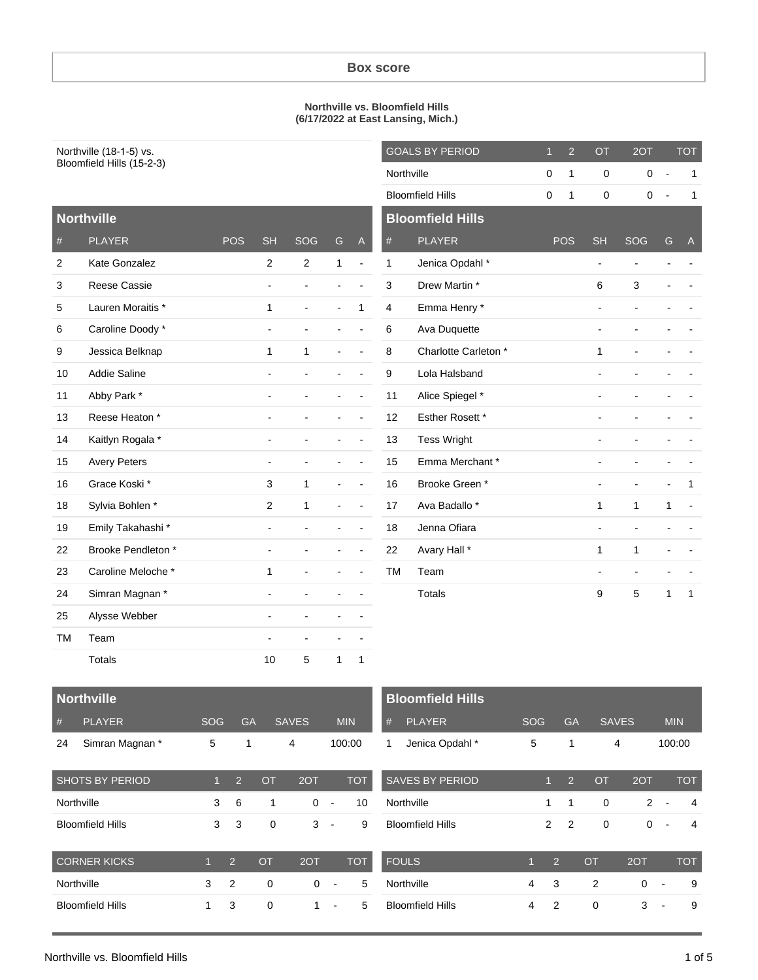#### **Northville vs. Bloomfield Hills (6/17/2022 at East Lansing, Mich.)**

| Northville (18-1-5) vs. |                           |                           |                           | <b>GOALS BY PERIOD</b>   |                |              | $\mathbf{1}$   | $\overline{2}$ | OT                      | 2OT        |                | <b>TOT</b>     |                          |                |                          |              |
|-------------------------|---------------------------|---------------------------|---------------------------|--------------------------|----------------|--------------|----------------|----------------|-------------------------|------------|----------------|----------------|--------------------------|----------------|--------------------------|--------------|
|                         | Bloomfield Hills (15-2-3) |                           |                           |                          |                |              |                |                | Northville              |            | $\mathbf 0$    | $\mathbf{1}$   | 0                        | 0              | $\overline{\phantom{a}}$ | 1            |
|                         |                           |                           |                           |                          |                |              |                |                | <b>Bloomfield Hills</b> |            | 0              | 1              | 0                        | $\mathbf 0$    |                          |              |
|                         | <b>Northville</b>         |                           |                           |                          |                |              |                |                | <b>Bloomfield Hills</b> |            |                |                |                          |                |                          |              |
| $\#$                    | <b>PLAYER</b>             |                           | <b>POS</b>                | <b>SH</b>                | SOG            | G            | $\mathsf{A}$   | $\#$           | <b>PLAYER</b>           |            |                | <b>POS</b>     | <b>SH</b>                | SOG            | G                        | $\mathsf{A}$ |
| 2                       | Kate Gonzalez             |                           |                           | $\overline{2}$           | $\mathbf{2}$   | $\mathbf{1}$ | $\overline{a}$ | $\mathbf{1}$   | Jenica Opdahl*          |            |                |                | $\blacksquare$           | $\blacksquare$ |                          |              |
| 3                       | Reese Cassie              |                           |                           | $\blacksquare$           | $\overline{a}$ | ÷            |                | 3              | Drew Martin *           |            |                |                | 6                        | 3              |                          |              |
| 5                       | Lauren Moraitis *         |                           |                           | 1                        | ÷,             |              | $\mathbf{1}$   | 4              | Emma Henry *            |            |                |                | $\overline{\phantom{a}}$ | $\blacksquare$ |                          |              |
| 6                       | Caroline Doody *          |                           |                           | $\overline{\phantom{a}}$ | ÷,             |              |                | 6              | Ava Duquette            |            |                |                | $\blacksquare$           | $\blacksquare$ |                          |              |
| 9                       | Jessica Belknap           |                           |                           | $\mathbf{1}$             | 1              |              |                | 8              | Charlotte Carleton *    |            |                |                | 1                        |                |                          |              |
| 10                      | Addie Saline              |                           |                           | $\blacksquare$           | $\blacksquare$ |              |                | 9              | Lola Halsband           |            |                |                | $\overline{\phantom{a}}$ |                |                          |              |
| 11                      | Abby Park *               |                           |                           |                          |                |              |                | 11             | Alice Spiegel *         |            |                |                |                          |                |                          |              |
| 13                      | Reese Heaton *            |                           |                           |                          |                |              |                | 12             | Esther Rosett *         |            |                |                | $\overline{a}$           |                |                          |              |
| 14                      | Kaitlyn Rogala *          |                           |                           |                          |                |              |                | 13             | <b>Tess Wright</b>      |            |                |                | ÷,                       |                |                          |              |
| 15                      | <b>Avery Peters</b>       |                           |                           | $\blacksquare$           | $\overline{a}$ |              |                | 15             | Emma Merchant*          |            |                |                | ÷,                       |                |                          |              |
| 16                      | Grace Koski*              |                           |                           | 3                        | 1              |              |                | 16             | Brooke Green*           |            |                |                | $\blacksquare$           | $\blacksquare$ |                          | 1            |
| 18                      | Sylvia Bohlen *           |                           |                           | $\overline{2}$           | 1              |              |                | 17             | Ava Badallo *           |            |                |                | 1                        | 1              | 1                        |              |
| 19                      | Emily Takahashi*          |                           |                           |                          |                |              |                | 18             | Jenna Ofiara            |            |                |                | $\blacksquare$           | $\blacksquare$ |                          |              |
| 22                      | Brooke Pendleton *        |                           |                           |                          |                |              |                | 22             | Avary Hall *            |            |                |                | $\mathbf{1}$             | $\mathbf{1}$   |                          |              |
| 23                      | Caroline Meloche *        |                           |                           | $\mathbf{1}$             | ÷,             |              |                | <b>TM</b>      | Team                    |            |                |                |                          | $\overline{a}$ |                          |              |
| 24                      | Simran Magnan*            |                           |                           |                          |                |              |                |                | <b>Totals</b>           |            |                |                | 9                        | 5              | 1                        | $\mathbf{1}$ |
| 25                      | Alysse Webber             |                           |                           |                          |                |              |                |                |                         |            |                |                |                          |                |                          |              |
| ТM                      | Team                      |                           |                           |                          |                |              |                |                |                         |            |                |                |                          |                |                          |              |
|                         | Totals                    |                           |                           | 10                       | 5              | 1            | $\mathbf{1}$   |                |                         |            |                |                |                          |                |                          |              |
|                         |                           |                           |                           |                          |                |              |                |                |                         |            |                |                |                          |                |                          |              |
|                         | <b>Northville</b>         |                           |                           |                          |                |              |                |                | <b>Bloomfield Hills</b> |            |                |                |                          |                |                          |              |
| $\#$                    | <b>PLAYER</b>             | SOG                       | <b>GA</b>                 |                          | <b>SAVES</b>   | MIN          |                | $\#$           | <b>PLAYER</b>           | SOG        |                | GA             | <b>SAVES</b>             |                | MIN                      |              |
| 24                      | Simran Magnan*            | $\sqrt{5}$                | $\mathbf{1}$              |                          | $\overline{4}$ | 100:00       |                | $\mathbf{1}$   | Jenica Opdahl*          | $\sqrt{5}$ |                | $\mathbf{1}$   |                          | 4              | 100:00                   |              |
|                         | SHOTS BY PERIOD           | $\overline{1}$            | $\overline{2}$            | <b>OT</b>                | 2OT            |              | <b>TOT</b>     |                | SAVES BY PERIOD         |            | $\mathbf{1}$   | $\overline{2}$ | OT                       | 2OT            |                          | <b>TOT</b>   |
| Northville              |                           | $\ensuremath{\mathsf{3}}$ | $\,6\,$                   | $\mathbf{1}$             | $\mathbf 0$    | $\sim$       | 10             |                | Northville              |            | $\mathbf{1}$   | $\mathbf{1}$   | $\pmb{0}$                | $\overline{2}$ | $\overline{\phantom{a}}$ | 4            |
|                         | <b>Bloomfield Hills</b>   | $\mathbf{3}$              | $\ensuremath{\mathsf{3}}$ | $\pmb{0}$                | $3 -$          |              | 9              |                | <b>Bloomfield Hills</b> |            | $\overline{a}$ | $\sqrt{2}$     | $\mathbf 0$              |                | $0\,$ -                  | 4            |
|                         |                           |                           |                           |                          |                |              |                |                |                         |            |                |                |                          |                |                          |              |

| <b>CORNER KICKS</b>     |   | $\mathcal{D}$ | $\Omega$ | 2OT |                          | TOT |
|-------------------------|---|---------------|----------|-----|--------------------------|-----|
| Northville              | 3 |               |          |     | $\overline{\phantom{a}}$ |     |
| <b>Bloomfield Hills</b> |   | 3             |          |     | $\overline{\phantom{a}}$ |     |

| טרווון וששמע            |             |                | <b>75.</b>     | ◡         | <b>ZVII</b>   | 1 V I      |
|-------------------------|-------------|----------------|----------------|-----------|---------------|------------|
| Northville              |             | 1              |                | 0         | $\mathcal{P}$ | 4          |
| <b>Bloomfield Hills</b> |             | $\mathcal{P}$  | $\overline{2}$ | 0         | 0             | 4          |
| <b>FOULS</b>            | $\mathbf 1$ | $\overline{2}$ |                | <b>OT</b> | 2OT           | <b>TOT</b> |
|                         |             |                |                |           |               |            |
| Northville              | 4           | 3              |                | 2         | ∩             | 9          |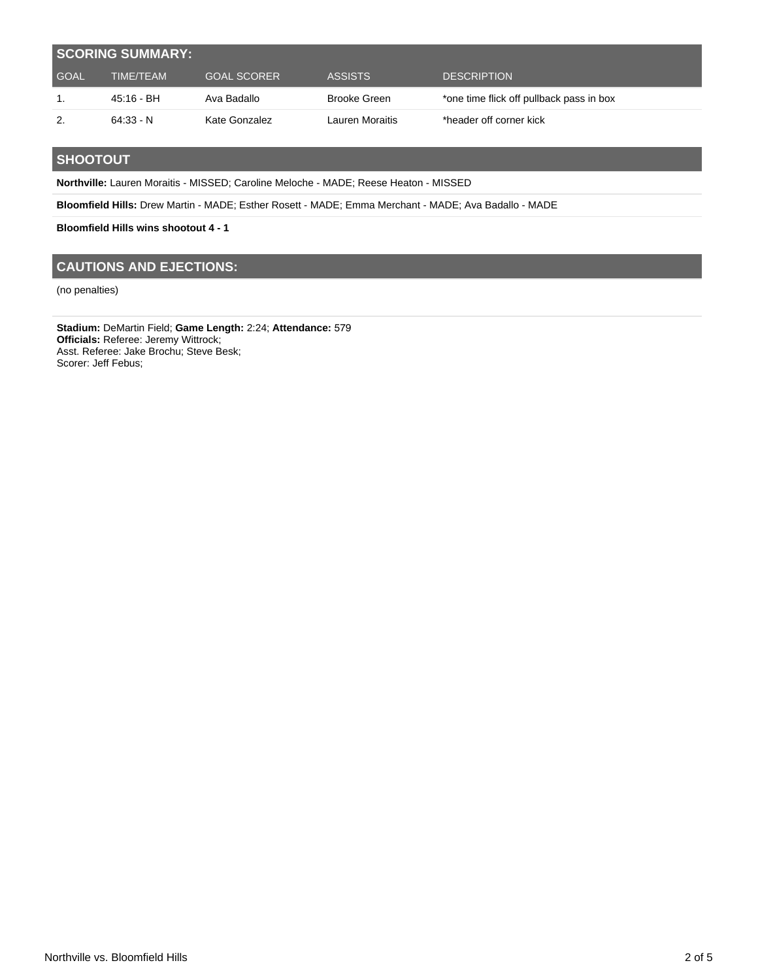|             | <b>SCORING SUMMARY:</b> |                    |                 |                                          |
|-------------|-------------------------|--------------------|-----------------|------------------------------------------|
| <b>GOAL</b> | TIME/TEAM               | <b>GOAL SCORER</b> | ASSISTS         | <b>DESCRIPTION</b>                       |
|             | 45:16 - BH              | Ava Badallo        | Brooke Green    | *one time flick off pullback pass in box |
| 2.          | $64:33 - N$             | Kate Gonzalez      | Lauren Moraitis | *header off corner kick                  |

### **SHOOTOUT**

**Northville:** Lauren Moraitis - MISSED; Caroline Meloche - MADE; Reese Heaton - MISSED

**Bloomfield Hills:** Drew Martin - MADE; Esther Rosett - MADE; Emma Merchant - MADE; Ava Badallo - MADE

**Bloomfield Hills wins shootout 4 - 1**

### **CAUTIONS AND EJECTIONS:**

(no penalties)

**Stadium:** DeMartin Field; **Game Length:** 2:24; **Attendance:** 579 **Officials:** Referee: Jeremy Wittrock; Asst. Referee: Jake Brochu; Steve Besk; Scorer: Jeff Febus;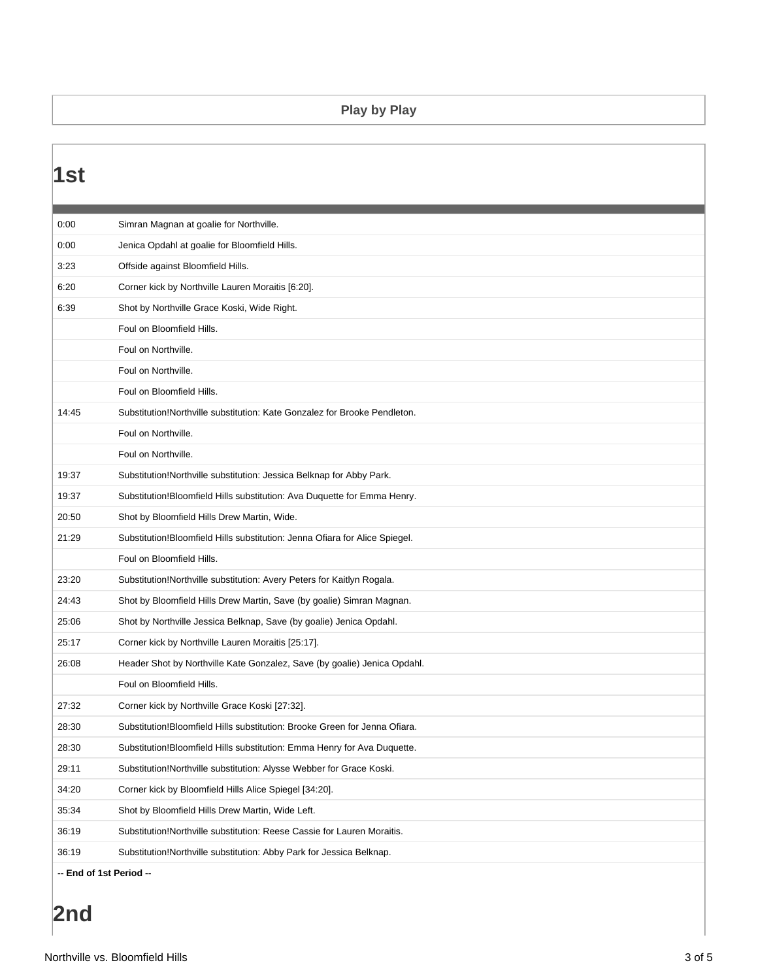## **Play by Play**

| 1st                     |                                                                             |
|-------------------------|-----------------------------------------------------------------------------|
|                         |                                                                             |
| 0:00                    | Simran Magnan at goalie for Northville.                                     |
| 0:00                    | Jenica Opdahl at goalie for Bloomfield Hills.                               |
| 3:23                    | Offside against Bloomfield Hills.                                           |
| 6:20                    | Corner kick by Northville Lauren Moraitis [6:20].                           |
| 6:39                    | Shot by Northville Grace Koski, Wide Right.                                 |
|                         | Foul on Bloomfield Hills.                                                   |
|                         | Foul on Northville.                                                         |
|                         | Foul on Northville.                                                         |
|                         | Foul on Bloomfield Hills.                                                   |
| 14:45                   | Substitution!Northville substitution: Kate Gonzalez for Brooke Pendleton.   |
|                         | Foul on Northville.                                                         |
|                         | Foul on Northville.                                                         |
| 19:37                   | Substitution!Northville substitution: Jessica Belknap for Abby Park.        |
| 19:37                   | Substitution! Bloomfield Hills substitution: Ava Duquette for Emma Henry.   |
| 20:50                   | Shot by Bloomfield Hills Drew Martin, Wide.                                 |
| 21:29                   | Substitution!Bloomfield Hills substitution: Jenna Ofiara for Alice Spiegel. |
|                         | Foul on Bloomfield Hills.                                                   |
| 23:20                   | Substitution!Northville substitution: Avery Peters for Kaitlyn Rogala.      |
| 24:43                   | Shot by Bloomfield Hills Drew Martin, Save (by goalie) Simran Magnan.       |
| 25:06                   | Shot by Northville Jessica Belknap, Save (by goalie) Jenica Opdahl.         |
| 25:17                   | Corner kick by Northville Lauren Moraitis [25:17].                          |
| 26:08                   | Header Shot by Northville Kate Gonzalez, Save (by goalie) Jenica Opdahl.    |
|                         | Foul on Bloomfield Hills.                                                   |
| 27:32                   | Corner kick by Northville Grace Koski [27:32].                              |
| 28:30                   | Substitution!Bloomfield Hills substitution: Brooke Green for Jenna Ofiara.  |
| 28:30                   | Substitution!Bloomfield Hills substitution: Emma Henry for Ava Duquette.    |
| 29:11                   | Substitution!Northville substitution: Alysse Webber for Grace Koski.        |
| 34:20                   | Corner kick by Bloomfield Hills Alice Spiegel [34:20].                      |
| 35:34                   | Shot by Bloomfield Hills Drew Martin, Wide Left.                            |
| 36:19                   | Substitution! Northville substitution: Reese Cassie for Lauren Moraitis.    |
| 36:19                   | Substitution!Northville substitution: Abby Park for Jessica Belknap.        |
| -- End of 1st Period -- |                                                                             |

# **2nd**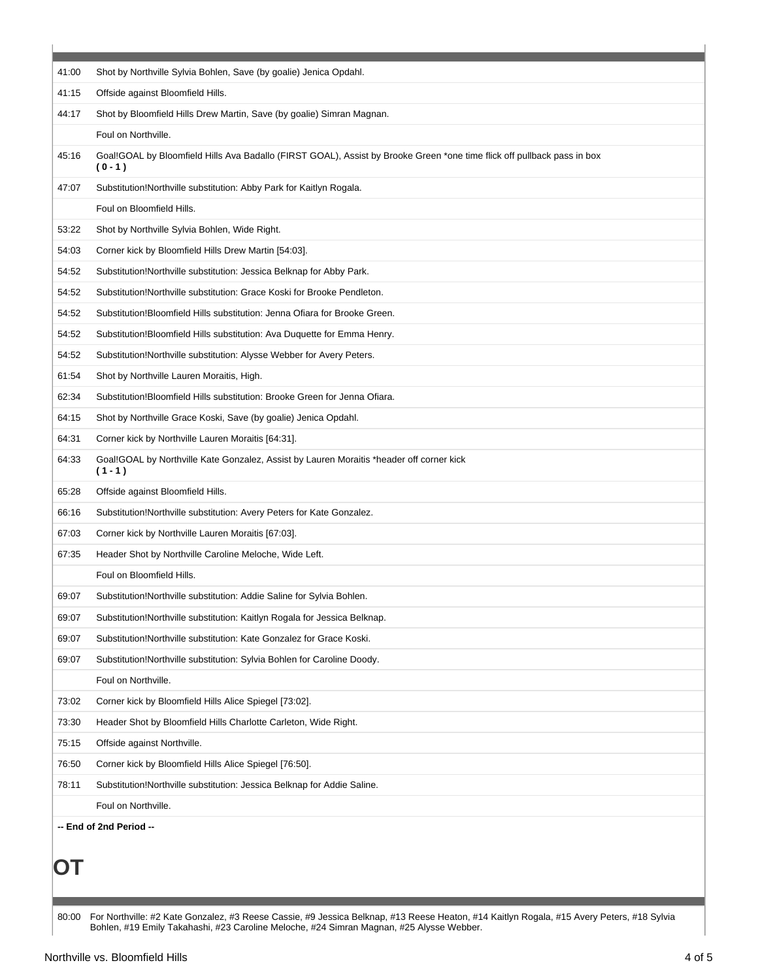| 41:00 | Shot by Northville Sylvia Bohlen, Save (by goalie) Jenica Opdahl.                                                                  |
|-------|------------------------------------------------------------------------------------------------------------------------------------|
| 41:15 | Offside against Bloomfield Hills.                                                                                                  |
| 44:17 | Shot by Bloomfield Hills Drew Martin, Save (by goalie) Simran Magnan.                                                              |
|       | Foul on Northville.                                                                                                                |
| 45:16 | Goal!GOAL by Bloomfield Hills Ava Badallo (FIRST GOAL), Assist by Brooke Green *one time flick off pullback pass in box<br>$(0-1)$ |
| 47:07 | Substitution!Northville substitution: Abby Park for Kaitlyn Rogala.                                                                |
|       | Foul on Bloomfield Hills.                                                                                                          |
| 53:22 | Shot by Northville Sylvia Bohlen, Wide Right.                                                                                      |
| 54:03 | Corner kick by Bloomfield Hills Drew Martin [54:03].                                                                               |
| 54:52 | Substitution!Northville substitution: Jessica Belknap for Abby Park.                                                               |
| 54:52 | Substitution!Northville substitution: Grace Koski for Brooke Pendleton.                                                            |
| 54:52 | Substitution!Bloomfield Hills substitution: Jenna Ofiara for Brooke Green.                                                         |
| 54:52 | Substitution!Bloomfield Hills substitution: Ava Duquette for Emma Henry.                                                           |
| 54:52 | Substitution!Northville substitution: Alysse Webber for Avery Peters.                                                              |
| 61:54 | Shot by Northville Lauren Moraitis, High.                                                                                          |
| 62:34 | Substitution!Bloomfield Hills substitution: Brooke Green for Jenna Ofiara.                                                         |
| 64:15 | Shot by Northville Grace Koski, Save (by goalie) Jenica Opdahl.                                                                    |
| 64:31 | Corner kick by Northville Lauren Moraitis [64:31].                                                                                 |
| 64:33 | Goal!GOAL by Northville Kate Gonzalez, Assist by Lauren Moraitis *header off corner kick<br>$(1 - 1)$                              |
| 65:28 | Offside against Bloomfield Hills.                                                                                                  |
| 66:16 | Substitution!Northville substitution: Avery Peters for Kate Gonzalez.                                                              |
| 67:03 | Corner kick by Northville Lauren Moraitis [67:03].                                                                                 |
| 67:35 | Header Shot by Northville Caroline Meloche, Wide Left.                                                                             |
|       | Foul on Bloomfield Hills.                                                                                                          |
| 69:07 | Substitution!Northville substitution: Addie Saline for Sylvia Bohlen.                                                              |
| 69:07 | Substitution!Northville substitution: Kaitlyn Rogala for Jessica Belknap.                                                          |
| 69:07 | Substitution!Northville substitution: Kate Gonzalez for Grace Koski.                                                               |
| 69:07 | Substitution!Northville substitution: Sylvia Bohlen for Caroline Doody.                                                            |
|       | Foul on Northville.                                                                                                                |
| 73:02 | Corner kick by Bloomfield Hills Alice Spiegel [73:02].                                                                             |
| 73:30 | Header Shot by Bloomfield Hills Charlotte Carleton, Wide Right.                                                                    |
| 75:15 | Offside against Northville.                                                                                                        |
| 76:50 | Corner kick by Bloomfield Hills Alice Spiegel [76:50].                                                                             |
| 78:11 | Substitution!Northville substitution: Jessica Belknap for Addie Saline.                                                            |
|       | Foul on Northville.                                                                                                                |
|       | -- End of 2nd Period --                                                                                                            |
|       |                                                                                                                                    |
|       |                                                                                                                                    |
|       |                                                                                                                                    |

80:00 For Northville: #2 Kate Gonzalez, #3 Reese Cassie, #9 Jessica Belknap, #13 Reese Heaton, #14 Kaitlyn Rogala, #15 Avery Peters, #18 Sylvia Bohlen, #19 Emily Takahashi, #23 Caroline Meloche, #24 Simran Magnan, #25 Alysse Webber.